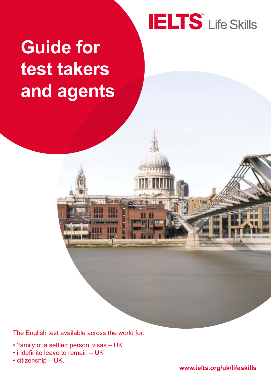# **IELTS** Life Skills

# **Guide for test takers and agents**

The English test available across the world for:

- 'family of a settled person' visas UK
- indefinite leave to remain UK
- citizenship UK.

**www.ielts.org/uk/lifeskills**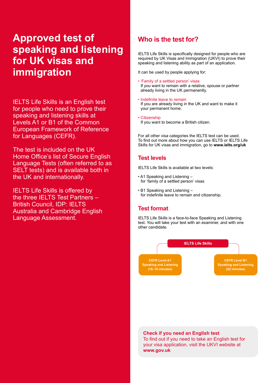# **Approved test of speaking and listening for UK visas and immigration**

IELTS Life Skills is an English test for people who need to prove their speaking and listening skills at Levels A1 or B1 of the Common European Framework of Reference for Languages (CEFR).

The test is included on the UK Home Office's list of Secure English Language Tests (often referred to as SELT tests) and is available both in the UK and internationally.

IELTS Life Skills is offered by the three IELTS Test Partners – British Council, IDP: IELTS Australia and Cambridge English Language Assessment.

## **Who is the test for?**

IELTS Life Skills is specifically designed for people who are required by UK Visas and Immigration (UKVI) to prove their speaking and listening ability as part of an application.

It can be used by people applying for:

- 'Family of a settled person' visas If you want to remain with a relative, spouse or partner already living in the UK permanently.
- Indefinite leave to remain If you are already living in the UK and want to make it your permanent home.
- Citizenship If you want to become a British citizen.

For all other visa categories the IELTS test can be used. To find out more about how you can use IELTS or IELTS Life Skills for UK visas and immigration, go to **www.ielts.org/uk**

## **Test levels**

IELTS Life Skills is available at two levels:

- A1 Speaking and Listening for 'family of a settled person' visas
- B1 Speaking and Listening for indefinite leave to remain and citizenship.

### **Test format**

IELTS Life Skills is a face-to-face Speaking and Listening test. You will take your test with an examiner, and with one other candidate.



**Check if you need an English test**

To find out if you need to take an English test for your visa application, visit the UKVI website at **www.gov.uk**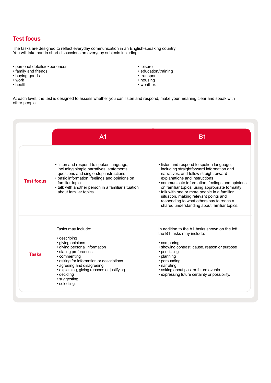## **Test focus**

The tasks are designed to reflect everyday communication in an English-speaking country. You will take part in short discussions on everyday subjects including:

- personal details/experiences
- family and friends
- buying goods
- work
- health
- leisure
- education/training
- transport
- housing
- weather.

At each level, the test is designed to assess whether you can listen and respond, make your meaning clear and speak with other people.

|                   | A <sub>1</sub>                                                                                                                                                                                                                                                                                          | B <sub>1</sub>                                                                                                                                                                                                                                                                                                                                                                                                                                              |
|-------------------|---------------------------------------------------------------------------------------------------------------------------------------------------------------------------------------------------------------------------------------------------------------------------------------------------------|-------------------------------------------------------------------------------------------------------------------------------------------------------------------------------------------------------------------------------------------------------------------------------------------------------------------------------------------------------------------------------------------------------------------------------------------------------------|
| <b>Test focus</b> | . listen and respond to spoken language,<br>including simple narratives, statements,<br>questions and single-step instructions<br>• basic information, feelings and opinions on<br>familiar topics<br>• talk with another person in a familiar situation<br>about familiar topics.                      | . listen and respond to spoken language,<br>including straightforward information and<br>narratives, and follow straightforward<br>explanations and instructions<br>• communicate information, feelings and opinions<br>on familiar topics, using appropriate formality<br>• talk with one or more people in a familiar<br>situation, making relevant points and<br>responding to what others say to reach a<br>shared understanding about familiar topics. |
| <b>Tasks</b>      | Tasks may include:<br>• describing<br>• giving opinions<br>• giving personal information<br>• stating preferences<br>• commenting<br>• asking for information or descriptions<br>• agreeing and disagreeing<br>• explaining, giving reasons or justifying<br>• deciding<br>• suggesting<br>· selecting. | In addition to the A1 tasks shown on the left.<br>the B1 tasks may include:<br>• comparing<br>• showing contrast, cause, reason or purpose<br>• prioritising<br>• planning<br>• persuading<br>• narrating<br>• asking about past or future events<br>• expressing future certainty or possibility.                                                                                                                                                          |